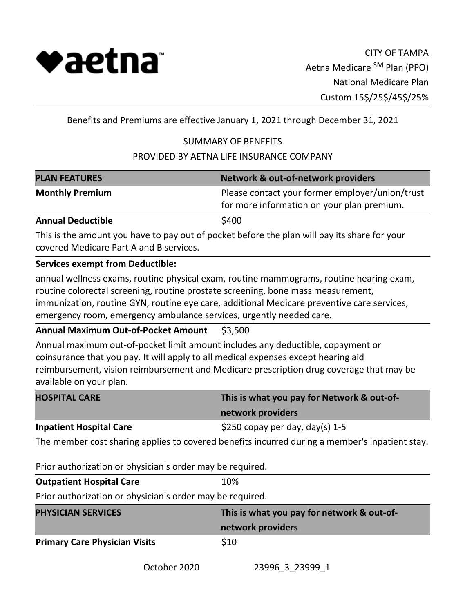

Benefits and Premiums are effective January 1, 2021 through December 31, 2021

# SUMMARY OF BENEFITS

## PROVIDED BY AETNA LIFE INSURANCE COMPANY

| <b>PLAN FEATURES</b>                                                                                                                                                                                                                                                                                                                             | <b>Network &amp; out-of-network providers</b>                                                 |
|--------------------------------------------------------------------------------------------------------------------------------------------------------------------------------------------------------------------------------------------------------------------------------------------------------------------------------------------------|-----------------------------------------------------------------------------------------------|
| <b>Monthly Premium</b>                                                                                                                                                                                                                                                                                                                           | Please contact your former employer/union/trust<br>for more information on your plan premium. |
| <b>Annual Deductible</b>                                                                                                                                                                                                                                                                                                                         | \$400                                                                                         |
| covered Medicare Part A and B services.                                                                                                                                                                                                                                                                                                          | This is the amount you have to pay out of pocket before the plan will pay its share for your  |
| <b>Services exempt from Deductible:</b>                                                                                                                                                                                                                                                                                                          |                                                                                               |
| annual wellness exams, routine physical exam, routine mammograms, routine hearing exam,<br>routine colorectal screening, routine prostate screening, bone mass measurement,<br>immunization, routine GYN, routine eye care, additional Medicare preventive care services,<br>emergency room, emergency ambulance services, urgently needed care. |                                                                                               |
| <b>Annual Maximum Out-of-Pocket Amount</b>                                                                                                                                                                                                                                                                                                       | \$3,500                                                                                       |
| Annual maximum out-of-pocket limit amount includes any deductible, copayment or<br>coinsurance that you pay. It will apply to all medical expenses except hearing aid<br>available on your plan.                                                                                                                                                 | reimbursement, vision reimbursement and Medicare prescription drug coverage that may be       |

| <b>HOSPITAL CARE</b>           | This is what you pay for Network & out-of- |  |
|--------------------------------|--------------------------------------------|--|
|                                | network providers                          |  |
| <b>Inpatient Hospital Care</b> | \$250 copay per day, day(s) $1-5$          |  |

The member cost sharing applies to covered benefits incurred during a member's inpatient stay.

Prior authorization or physician's order may be required.

| <b>Outpatient Hospital Care</b> | 10% |
|---------------------------------|-----|
|---------------------------------|-----|

Prior authorization or physician's order may be required.

| <b>PHYSICIAN SERVICES</b>            | This is what you pay for network & out-of- |  |
|--------------------------------------|--------------------------------------------|--|
|                                      | network providers                          |  |
| <b>Primary Care Physician Visits</b> | \$10                                       |  |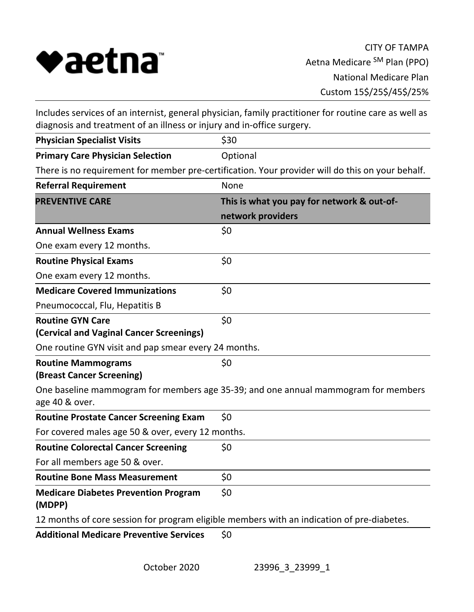

Includes services of an internist, general physician, family practitioner for routine care as well as diagnosis and treatment of an illness or injury and in-office surgery.

| <b>Physician Specialist Visits</b>                    | \$30                                                                                             |
|-------------------------------------------------------|--------------------------------------------------------------------------------------------------|
| <b>Primary Care Physician Selection</b>               | Optional                                                                                         |
|                                                       | There is no requirement for member pre-certification. Your provider will do this on your behalf. |
| <b>Referral Requirement</b>                           | None                                                                                             |
| <b>PREVENTIVE CARE</b>                                | This is what you pay for network & out-of-                                                       |
|                                                       | network providers                                                                                |
| <b>Annual Wellness Exams</b>                          | \$0                                                                                              |
| One exam every 12 months.                             |                                                                                                  |
| <b>Routine Physical Exams</b>                         | \$0                                                                                              |
| One exam every 12 months.                             |                                                                                                  |
| <b>Medicare Covered Immunizations</b>                 | \$0                                                                                              |
| Pneumococcal, Flu, Hepatitis B                        |                                                                                                  |
| <b>Routine GYN Care</b>                               | \$0                                                                                              |
| (Cervical and Vaginal Cancer Screenings)              |                                                                                                  |
| One routine GYN visit and pap smear every 24 months.  |                                                                                                  |
| <b>Routine Mammograms</b>                             | \$0                                                                                              |
| (Breast Cancer Screening)                             |                                                                                                  |
| age 40 & over.                                        | One baseline mammogram for members age 35-39; and one annual mammogram for members               |
| <b>Routine Prostate Cancer Screening Exam</b>         | \$0                                                                                              |
| For covered males age 50 & over, every 12 months.     |                                                                                                  |
| <b>Routine Colorectal Cancer Screening</b>            | \$0                                                                                              |
| For all members age 50 & over.                        |                                                                                                  |
| <b>Routine Bone Mass Measurement</b>                  | \$0                                                                                              |
| <b>Medicare Diabetes Prevention Program</b><br>(MDPP) | \$0                                                                                              |
|                                                       | 12 months of core session for program eligible members with an indication of pre-diabetes.       |
| <b>Additional Medicare Preventive Services</b>        | \$0                                                                                              |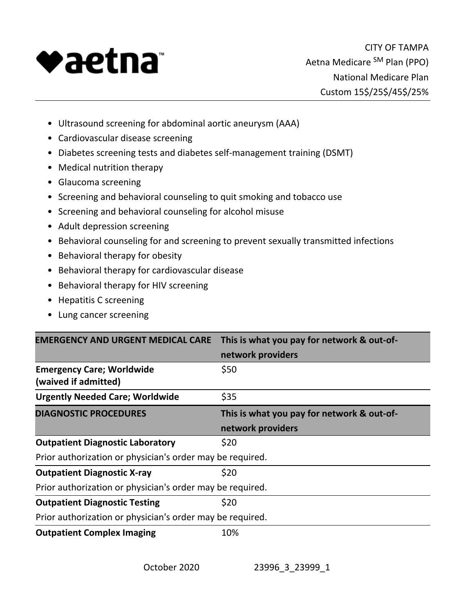

- Ultrasound screening for abdominal aortic aneurysm (AAA)
- Cardiovascular disease screening
- Diabetes screening tests and diabetes self-management training (DSMT)
- Medical nutrition therapy
- Glaucoma screening
- Screening and behavioral counseling to quit smoking and tobacco use
- Screening and behavioral counseling for alcohol misuse
- Adult depression screening
- Behavioral counseling for and screening to prevent sexually transmitted infections
- Behavioral therapy for obesity
- Behavioral therapy for cardiovascular disease
- Behavioral therapy for HIV screening
- Hepatitis C screening
- Lung cancer screening

|                                                           | <b>EMERGENCY AND URGENT MEDICAL CARE</b> This is what you pay for network & out-of- |
|-----------------------------------------------------------|-------------------------------------------------------------------------------------|
|                                                           | network providers                                                                   |
| <b>Emergency Care; Worldwide</b>                          | \$50                                                                                |
| (waived if admitted)                                      |                                                                                     |
| <b>Urgently Needed Care; Worldwide</b>                    | \$35                                                                                |
| <b>DIAGNOSTIC PROCEDURES</b>                              | This is what you pay for network & out-of-                                          |
|                                                           | network providers                                                                   |
| <b>Outpatient Diagnostic Laboratory</b>                   | \$20                                                                                |
| Prior authorization or physician's order may be required. |                                                                                     |
| <b>Outpatient Diagnostic X-ray</b>                        | \$20                                                                                |
| Prior authorization or physician's order may be required. |                                                                                     |
| <b>Outpatient Diagnostic Testing</b>                      | \$20                                                                                |
| Prior authorization or physician's order may be required. |                                                                                     |
| <b>Outpatient Complex Imaging</b>                         | 10%                                                                                 |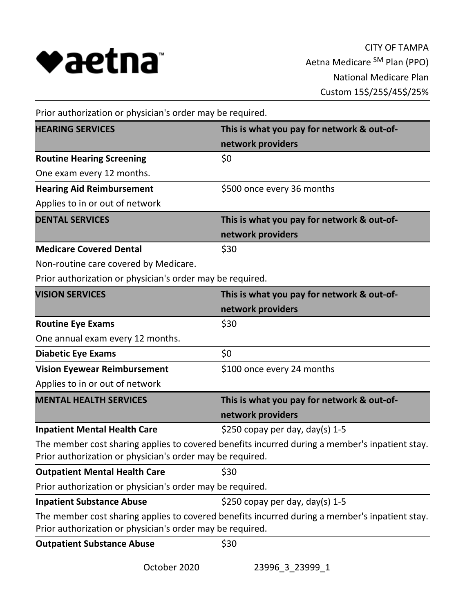

| Prior authorization or physician's order may be required.             |                                                                                                |  |
|-----------------------------------------------------------------------|------------------------------------------------------------------------------------------------|--|
| <b>HEARING SERVICES</b><br>This is what you pay for network & out-of- |                                                                                                |  |
|                                                                       | network providers                                                                              |  |
| <b>Routine Hearing Screening</b>                                      | \$0                                                                                            |  |
| One exam every 12 months.                                             |                                                                                                |  |
| <b>Hearing Aid Reimbursement</b>                                      | \$500 once every 36 months                                                                     |  |
| Applies to in or out of network                                       |                                                                                                |  |
| <b>DENTAL SERVICES</b>                                                | This is what you pay for network & out-of-                                                     |  |
|                                                                       | network providers                                                                              |  |
| <b>Medicare Covered Dental</b>                                        | \$30                                                                                           |  |
| Non-routine care covered by Medicare.                                 |                                                                                                |  |
| Prior authorization or physician's order may be required.             |                                                                                                |  |
| <b>VISION SERVICES</b>                                                | This is what you pay for network & out-of-                                                     |  |
|                                                                       | network providers                                                                              |  |
| <b>Routine Eye Exams</b>                                              | \$30                                                                                           |  |
| One annual exam every 12 months.                                      |                                                                                                |  |
| <b>Diabetic Eye Exams</b>                                             | \$0                                                                                            |  |
| <b>Vision Eyewear Reimbursement</b>                                   | \$100 once every 24 months                                                                     |  |
| Applies to in or out of network                                       |                                                                                                |  |
| <b>MENTAL HEALTH SERVICES</b>                                         | This is what you pay for network & out-of-                                                     |  |
|                                                                       | network providers                                                                              |  |
| <b>Inpatient Mental Health Care</b>                                   | \$250 copay per day, day(s) $1-5$                                                              |  |
| Prior authorization or physician's order may be required.             | The member cost sharing applies to covered benefits incurred during a member's inpatient stay. |  |
| <b>Outpatient Mental Health Care</b>                                  | \$30                                                                                           |  |
| Prior authorization or physician's order may be required.             |                                                                                                |  |
| <b>Inpatient Substance Abuse</b>                                      | \$250 copay per day, day(s) $1-5$                                                              |  |
| Prior authorization or physician's order may be required.             | The member cost sharing applies to covered benefits incurred during a member's inpatient stay. |  |
| <b>Outpatient Substance Abuse</b>                                     | \$30                                                                                           |  |

October 2020 23996\_3\_23999\_1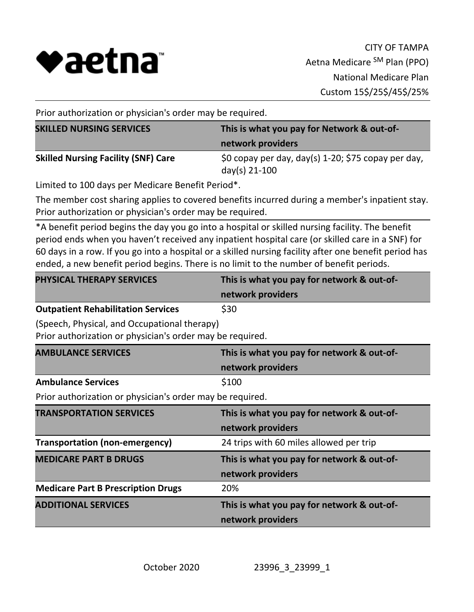

Prior authorization or physician's order may be required.

| <b>SKILLED NURSING SERVICES</b>            | This is what you pay for Network & out-of-<br>network providers |
|--------------------------------------------|-----------------------------------------------------------------|
| <b>Skilled Nursing Facility (SNF) Care</b> | \$0 copay per day, day(s) 1-20; \$75 copay per day,             |
|                                            | day(s) 21-100                                                   |

Limited to 100 days per Medicare Benefit Period\*.

The member cost sharing applies to covered benefits incurred during a member's inpatient stay. Prior authorization or physician's order may be required.

\*A benefit period begins the day you go into a hospital or skilled nursing facility. The benefit period ends when you haven't received any inpatient hospital care (or skilled care in a SNF) for 60 days in a row. If you go into a hospital or a skilled nursing facility after one benefit period has ended, a new benefit period begins. There is no limit to the number of benefit periods.

| <b>PHYSICAL THERAPY SERVICES</b>          | This is what you pay for network & out-of- |
|-------------------------------------------|--------------------------------------------|
|                                           | network providers                          |
| <b>Outpatient Rehabilitation Services</b> | \$30                                       |

(Speech, Physical, and Occupational therapy)

Prior authorization or physician's order may be required.

| <b>AMBULANCE SERVICES</b>                                 | This is what you pay for network & out-of- |  |
|-----------------------------------------------------------|--------------------------------------------|--|
|                                                           | network providers                          |  |
| <b>Ambulance Services</b>                                 | \$100                                      |  |
| Prior authorization or physician's order may be required. |                                            |  |
| <b>TRANSPORTATION SERVICES</b>                            | This is what you pay for network & out-of- |  |
|                                                           | network providers                          |  |
| <b>Transportation (non-emergency)</b>                     | 24 trips with 60 miles allowed per trip    |  |
| <b>MEDICARE PART B DRUGS</b>                              | This is what you pay for network & out-of- |  |
|                                                           | network providers                          |  |
| <b>Medicare Part B Prescription Drugs</b>                 | 20%                                        |  |
| <b>ADDITIONAL SERVICES</b>                                | This is what you pay for network & out-of- |  |
|                                                           | network providers                          |  |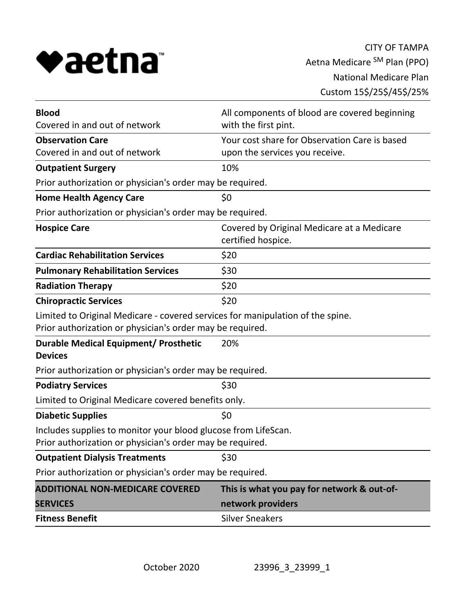

| <b>Blood</b>                                                                                                                                | All components of blood are covered beginning                    |  |
|---------------------------------------------------------------------------------------------------------------------------------------------|------------------------------------------------------------------|--|
| Covered in and out of network                                                                                                               | with the first pint.                                             |  |
| <b>Observation Care</b>                                                                                                                     | Your cost share for Observation Care is based                    |  |
| Covered in and out of network                                                                                                               | upon the services you receive.                                   |  |
| <b>Outpatient Surgery</b>                                                                                                                   | 10%                                                              |  |
| Prior authorization or physician's order may be required.                                                                                   |                                                                  |  |
| <b>Home Health Agency Care</b>                                                                                                              | \$0                                                              |  |
| Prior authorization or physician's order may be required.                                                                                   |                                                                  |  |
| <b>Hospice Care</b>                                                                                                                         | Covered by Original Medicare at a Medicare<br>certified hospice. |  |
| <b>Cardiac Rehabilitation Services</b>                                                                                                      | \$20                                                             |  |
| <b>Pulmonary Rehabilitation Services</b>                                                                                                    | \$30                                                             |  |
| <b>Radiation Therapy</b>                                                                                                                    | \$20                                                             |  |
| <b>Chiropractic Services</b>                                                                                                                | \$20                                                             |  |
| Limited to Original Medicare - covered services for manipulation of the spine.<br>Prior authorization or physician's order may be required. |                                                                  |  |
| Durable Medical Equipment/ Prosthetic<br><b>Devices</b>                                                                                     | 20%                                                              |  |
| Prior authorization or physician's order may be required.                                                                                   |                                                                  |  |
| <b>Podiatry Services</b>                                                                                                                    | \$30                                                             |  |
| Limited to Original Medicare covered benefits only.                                                                                         |                                                                  |  |
| <b>Diabetic Supplies</b>                                                                                                                    | \$0                                                              |  |
| Includes supplies to monitor your blood glucose from LifeScan.<br>Prior authorization or physician's order may be required.                 |                                                                  |  |
| <b>Outpatient Dialysis Treatments</b>                                                                                                       | \$30                                                             |  |
| Prior authorization or physician's order may be required.                                                                                   |                                                                  |  |
| <b>ADDITIONAL NON-MEDICARE COVERED</b>                                                                                                      | This is what you pay for network & out-of-                       |  |
| <b>SERVICES</b>                                                                                                                             | network providers                                                |  |
| <b>Fitness Benefit</b>                                                                                                                      | <b>Silver Sneakers</b>                                           |  |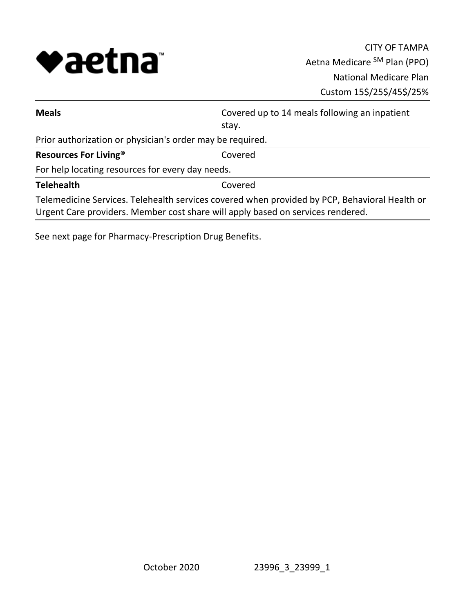

| stay.                                                                                                                                                                            |  |  |
|----------------------------------------------------------------------------------------------------------------------------------------------------------------------------------|--|--|
| Prior authorization or physician's order may be required.                                                                                                                        |  |  |
| Resources For Living <sup>®</sup><br>Covered                                                                                                                                     |  |  |
| For help locating resources for every day needs.                                                                                                                                 |  |  |
| <b>Telehealth</b><br>Covered                                                                                                                                                     |  |  |
| Telemedicine Services. Telehealth services covered when provided by PCP, Behavioral Health or<br>Urgent Care providers. Member cost share will apply based on services rendered. |  |  |

See next page for Pharmacy-Prescription Drug Benefits.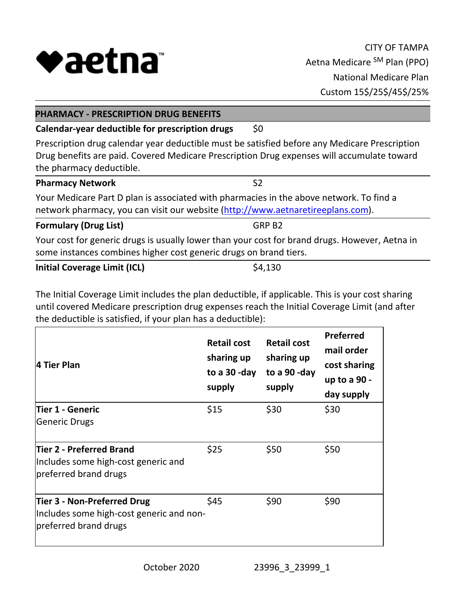

| <b>PHARMACY - PRESCRIPTION DRUG BENEFITS</b>                                                                                                                                                                            |                    |  |  |  |
|-------------------------------------------------------------------------------------------------------------------------------------------------------------------------------------------------------------------------|--------------------|--|--|--|
| Calendar-year deductible for prescription drugs                                                                                                                                                                         | \$0                |  |  |  |
| Prescription drug calendar year deductible must be satisfied before any Medicare Prescription<br>Drug benefits are paid. Covered Medicare Prescription Drug expenses will accumulate toward<br>the pharmacy deductible. |                    |  |  |  |
| <b>Pharmacy Network</b>                                                                                                                                                                                                 | S <sub>2</sub>     |  |  |  |
| Your Medicare Part D plan is associated with pharmacies in the above network. To find a<br>network pharmacy, you can visit our website (http://www.aetnaretireeplans.com).                                              |                    |  |  |  |
| <b>Formulary (Drug List)</b>                                                                                                                                                                                            | GRP B <sub>2</sub> |  |  |  |
| Your cost for generic drugs is usually lower than your cost for brand drugs. However, Aetna in<br>some instances combines higher cost generic drugs on brand tiers.                                                     |                    |  |  |  |

**Initial Coverage Limit (ICL)** \$4,130

The Initial Coverage Limit includes the plan deductible, if applicable. This is your cost sharing until covered Medicare prescription drug expenses reach the Initial Coverage Limit (and after the deductible is satisfied, if your plan has a deductible):

| 4 Tier Plan                                                                                      | <b>Retail cost</b><br>sharing up<br>to a 30-day<br>supply | <b>Retail cost</b><br>sharing up<br>to a 90-day<br>supply | <b>Preferred</b><br>mail order<br>cost sharing<br>up to a 90 -<br>day supply |
|--------------------------------------------------------------------------------------------------|-----------------------------------------------------------|-----------------------------------------------------------|------------------------------------------------------------------------------|
| Tier 1 - Generic                                                                                 | \$15                                                      | \$30                                                      | \$30                                                                         |
| <b>Generic Drugs</b>                                                                             |                                                           |                                                           |                                                                              |
| Tier 2 - Preferred Brand<br>Includes some high-cost generic and<br>preferred brand drugs         | \$25                                                      | \$50                                                      | \$50                                                                         |
| Tier 3 - Non-Preferred Drug<br>Includes some high-cost generic and non-<br>preferred brand drugs | \$45                                                      | \$90                                                      | \$90                                                                         |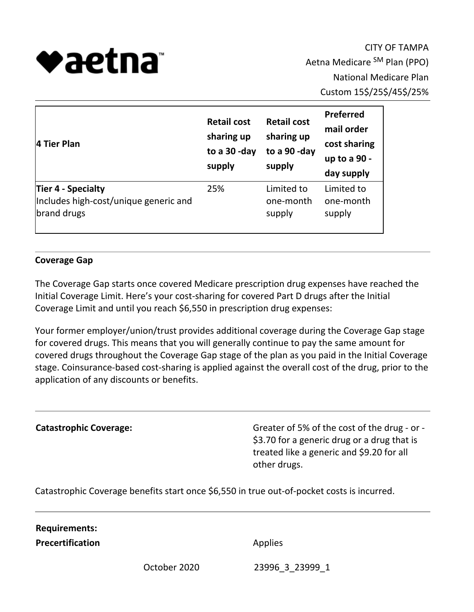

CITY OF TAMPA Aetna Medicare SM Plan (PPO) National Medicare Plan Custom 15\$/25\$/45\$/25%

| 4 Tier Plan                           | <b>Retail cost</b><br>sharing up<br>to a 30-day<br>supply | <b>Retail cost</b><br>sharing up<br>to a 90-day<br>supply | Preferred<br>mail order<br>cost sharing<br>up to a 90 -<br>day supply |
|---------------------------------------|-----------------------------------------------------------|-----------------------------------------------------------|-----------------------------------------------------------------------|
| Tier 4 - Specialty                    | 25%                                                       | Limited to                                                | Limited to                                                            |
| Includes high-cost/unique generic and |                                                           | one-month                                                 | one-month                                                             |
| brand drugs                           |                                                           | supply                                                    | supply                                                                |

## **Coverage Gap**

The Coverage Gap starts once covered Medicare prescription drug expenses have reached the Initial Coverage Limit. Here's your cost-sharing for covered Part D drugs after the Initial Coverage Limit and until you reach \$6,550 in prescription drug expenses:

Your former employer/union/trust provides additional coverage during the Coverage Gap stage for covered drugs. This means that you will generally continue to pay the same amount for covered drugs throughout the Coverage Gap stage of the plan as you paid in the Initial Coverage stage. Coinsurance-based cost-sharing is applied against the overall cost of the drug, prior to the application of any discounts or benefits.

**Catastrophic Coverage:** Greater of 5% of the cost of the drug - or -\$3.70 for a generic drug or a drug that is treated like a generic and \$9.20 for all other drugs.

Catastrophic Coverage benefits start once \$6,550 in true out-of-pocket costs is incurred.

#### **Requirements:**

**Precertification** Applies

October 2020 23996\_3\_23999\_1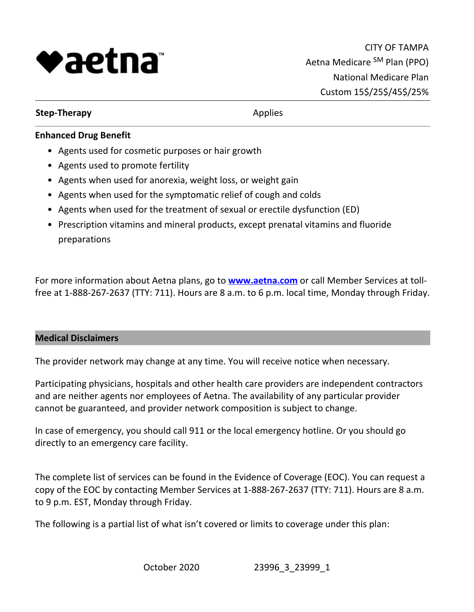

## **Step-Therapy** Applies

# **Enhanced Drug Benefit**

- Agents used for cosmetic purposes or hair growth
- Agents used to promote fertility
- Agents when used for anorexia, weight loss, or weight gain
- Agents when used for the symptomatic relief of cough and colds
- Agents when used for the treatment of sexual or erectile dysfunction (ED)
- Prescription vitamins and mineral products, except prenatal vitamins and fluoride preparations

For more information about Aetna plans, go to **<www.aetna.com>** or call Member Services at tollfree at 1-888-267-2637 (TTY: 711). Hours are 8 a.m. to 6 p.m. local time, Monday through Friday.

## **Medical Disclaimers**

The provider network may change at any time. You will receive notice when necessary.

Participating physicians, hospitals and other health care providers are independent contractors and are neither agents nor employees of Aetna. The availability of any particular provider cannot be guaranteed, and provider network composition is subject to change.

In case of emergency, you should call 911 or the local emergency hotline. Or you should go directly to an emergency care facility.

The complete list of services can be found in the Evidence of Coverage (EOC). You can request a copy of the EOC by contacting Member Services at 1-888-267-2637 (TTY: 711). Hours are 8 a.m. to 9 p.m. EST, Monday through Friday.

The following is a partial list of what isn't covered or limits to coverage under this plan: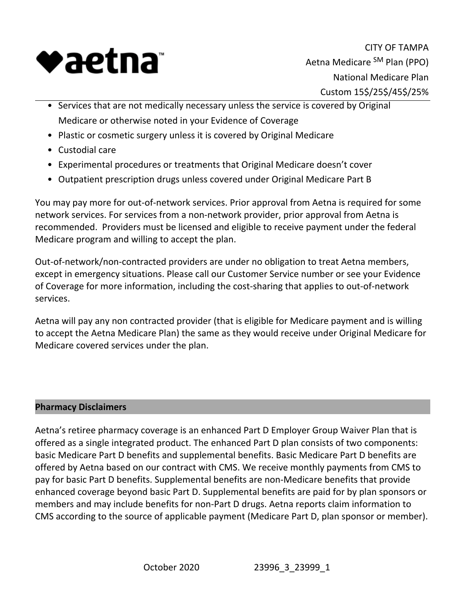

CITY OF TAMPA Aetna Medicare SM Plan (PPO) National Medicare Plan Custom 15\$/25\$/45\$/25%

- Services that are not medically necessary unless the service is covered by Original Medicare or otherwise noted in your Evidence of Coverage
- Plastic or cosmetic surgery unless it is covered by Original Medicare
- Custodial care
- Experimental procedures or treatments that Original Medicare doesn't cover
- Outpatient prescription drugs unless covered under Original Medicare Part B

You may pay more for out-of-network services. Prior approval from Aetna is required for some network services. For services from a non-network provider, prior approval from Aetna is recommended. Providers must be licensed and eligible to receive payment under the federal Medicare program and willing to accept the plan.

Out-of-network/non-contracted providers are under no obligation to treat Aetna members, except in emergency situations. Please call our Customer Service number or see your Evidence of Coverage for more information, including the cost-sharing that applies to out-of-network services.

Aetna will pay any non contracted provider (that is eligible for Medicare payment and is willing to accept the Aetna Medicare Plan) the same as they would receive under Original Medicare for Medicare covered services under the plan.

## **Pharmacy Disclaimers**

Aetna's retiree pharmacy coverage is an enhanced Part D Employer Group Waiver Plan that is offered as a single integrated product. The enhanced Part D plan consists of two components: basic Medicare Part D benefits and supplemental benefits. Basic Medicare Part D benefits are offered by Aetna based on our contract with CMS. We receive monthly payments from CMS to pay for basic Part D benefits. Supplemental benefits are non-Medicare benefits that provide enhanced coverage beyond basic Part D. Supplemental benefits are paid for by plan sponsors or members and may include benefits for non-Part D drugs. Aetna reports claim information to CMS according to the source of applicable payment (Medicare Part D, plan sponsor or member).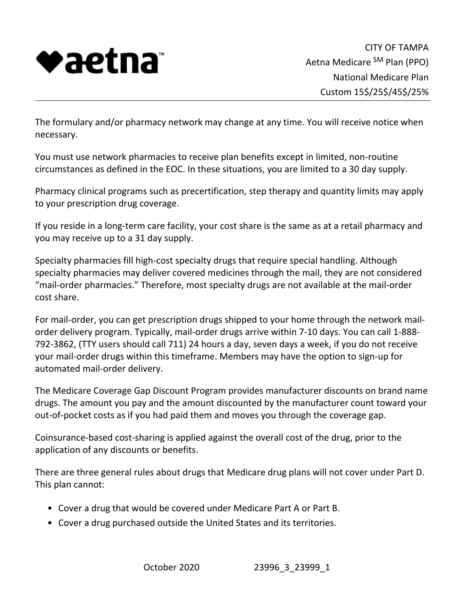

The formulary and/or pharmacy network may change at any time. You will receive notice when necessary.

You must use network pharmacies to receive plan benefits except in limited, non-routine circumstances as defined in the EOC. In these situations, you are limited to a 30 day supply.

Pharmacy clinical programs such as precertification, step therapy and quantity limits may apply to your prescription drug coverage.

If you reside in a long-term care facility, your cost share is the same as at a retail pharmacy and you may receive up to a 31 day supply.

Specialty pharmacies fill high-cost specialty drugs that require special handling. Although specialty pharmacies may deliver covered medicines through the mail, they are not considered "mail-order pharmacies." Therefore, most specialty drugs are not available at the mail-order cost share.

For mail-order, you can get prescription drugs shipped to your home through the network mailorder delivery program. Typically, mail-order drugs arrive within 7-10 days. You can call 1-888- 792-3862, (TTY users should call 711) 24 hours a day, seven days a week, if you do not receive your mail-order drugs within this timeframe. Members may have the option to sign-up for automated mail-order delivery.

The Medicare Coverage Gap Discount Program provides manufacturer discounts on brand name drugs. The amount you pay and the amount discounted by the manufacturer count toward your out-of-pocket costs as if you had paid them and moves you through the coverage gap.

Coinsurance-based cost-sharing is applied against the overall cost of the drug, prior to the application of any discounts or benefits.

There are three general rules about drugs that Medicare drug plans will not cover under Part D. This plan cannot:

- Cover a drug that would be covered under Medicare Part A or Part B.
- Cover a drug purchased outside the United States and its territories.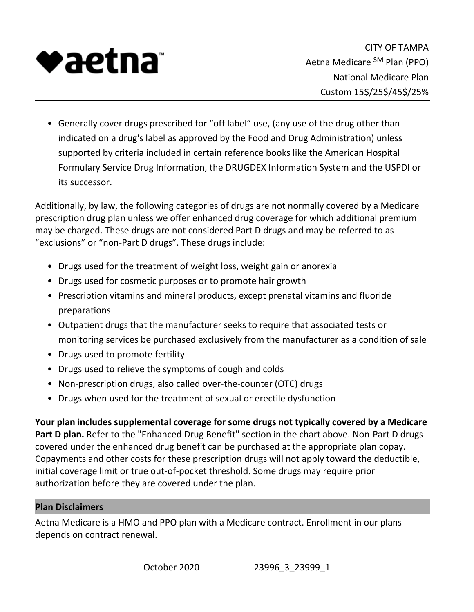

Generally cover drugs prescribed for "off label" use, (any use of the drug other than • indicated on a drug's label as approved by the Food and Drug Administration) unless supported by criteria included in certain reference books like the American Hospital Formulary Service Drug Information, the DRUGDEX Information System and the USPDI or its successor.

Additionally, by law, the following categories of drugs are not normally covered by a Medicare prescription drug plan unless we offer enhanced drug coverage for which additional premium may be charged. These drugs are not considered Part D drugs and may be referred to as "exclusions" or "non-Part D drugs". These drugs include:

- Drugs used for the treatment of weight loss, weight gain or anorexia
- Drugs used for cosmetic purposes or to promote hair growth
- Prescription vitamins and mineral products, except prenatal vitamins and fluoride preparations
- Outpatient drugs that the manufacturer seeks to require that associated tests or monitoring services be purchased exclusively from the manufacturer as a condition of sale
- Drugs used to promote fertility
- Drugs used to relieve the symptoms of cough and colds
- Non-prescription drugs, also called over-the-counter (OTC) drugs
- Drugs when used for the treatment of sexual or erectile dysfunction

**Your plan includes supplemental coverage for some drugs not typically covered by a Medicare Part D plan.** Refer to the "Enhanced Drug Benefit" section in the chart above. Non-Part D drugs covered under the enhanced drug benefit can be purchased at the appropriate plan copay. Copayments and other costs for these prescription drugs will not apply toward the deductible, initial coverage limit or true out-of-pocket threshold. Some drugs may require prior authorization before they are covered under the plan.

## **Plan Disclaimers**

Aetna Medicare is a HMO and PPO plan with a Medicare contract. Enrollment in our plans depends on contract renewal.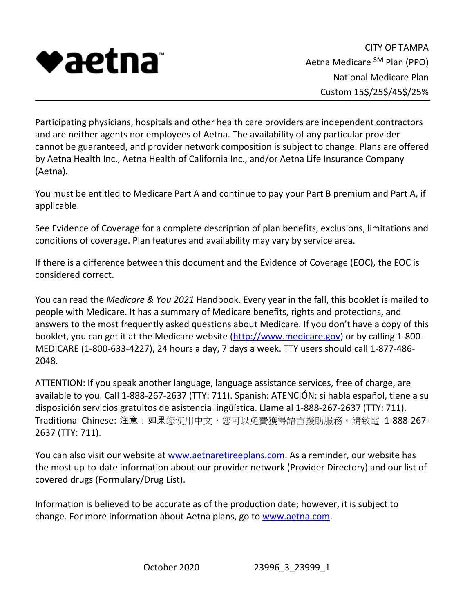

Participating physicians, hospitals and other health care providers are independent contractors and are neither agents nor employees of Aetna. The availability of any particular provider cannot be guaranteed, and provider network composition is subject to change. Plans are offered by Aetna Health Inc., Aetna Health of California Inc., and/or Aetna Life Insurance Company (Aetna).

You must be entitled to Medicare Part A and continue to pay your Part B premium and Part A, if applicable.

See Evidence of Coverage for a complete description of plan benefits, exclusions, limitations and conditions of coverage. Plan features and availability may vary by service area.

If there is a difference between this document and the Evidence of Coverage (EOC), the EOC is considered correct.

You can read the *Medicare & You 2021* Handbook. Every year in the fall, this booklet is mailed to people with Medicare. It has a summary of Medicare benefits, rights and protections, and answers to the most frequently asked questions about Medicare. If you don't have a copy of this booklet, you can get it at the Medicare website [\(http://www.medicare.gov\)](http://www.medicare.gov) or by calling 1-800- MEDICARE (1-800-633-4227), 24 hours a day, 7 days a week. TTY users should call 1-877-486- 2048.

ATTENTION: If you speak another language, language assistance services, free of charge, are available to you. Call 1-888-267-2637 (TTY: 711). Spanish: ATENCIÓN: si habla español, tiene a su disposición servicios gratuitos de asistencia lingüística. Llame al 1-888-267-2637 (TTY: 711). Traditional Chinese: 注意: 如果您使用中文, 您可以免費獲得語言援助服務。請致電 1-888-267-2637 (TTY: 711).

You can also visit our website at [www.aetnaretireeplans.com.](www.aetnaretireeplans.com) As a reminder, our website has the most up-to-date information about our provider network (Provider Directory) and our list of covered drugs (Formulary/Drug List).

Information is believed to be accurate as of the production date; however, it is subject to change. For more information about Aetna plans, go to<www.aetna.com>.